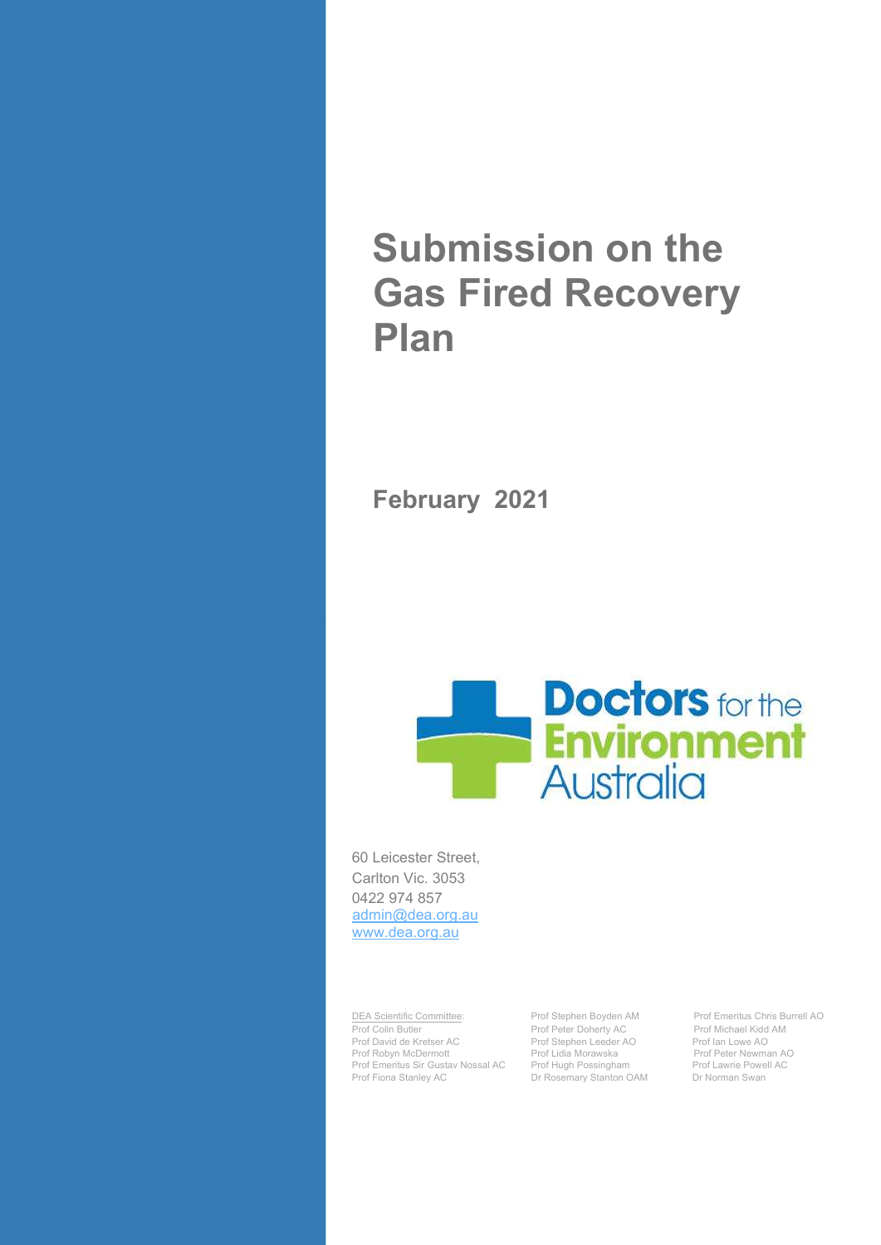# Submission on the Gas Fired Recovery Plan

February 2021



60 Leicester Street, Carlton Vic. 3053 0422 974 857 admin@dea.org.au www.dea.org.au

DEA Scientific Committee: Prof Stephen Boyden AM Prof Emeritus Chris Burrell AO Prof David de Kretser AC Prof Stephen Leeder<br>Prof Robyn McDermott Prof Lidia Morawska Prof Emeritus Sir Gustav Nossal AC Prof Fiona Stanley AC **Dr Rosemary Stanton OAM** Dr Norman Swan

Prof Peter Doherty AC Prof Michael Kidd<br>
Prof Stephen Leeder AO Prof Ian Lowe AO Prof Lidia Morawska Prof Peter Newman AO<br>Prof Hugh Possingham Prof Lawrie Powell AC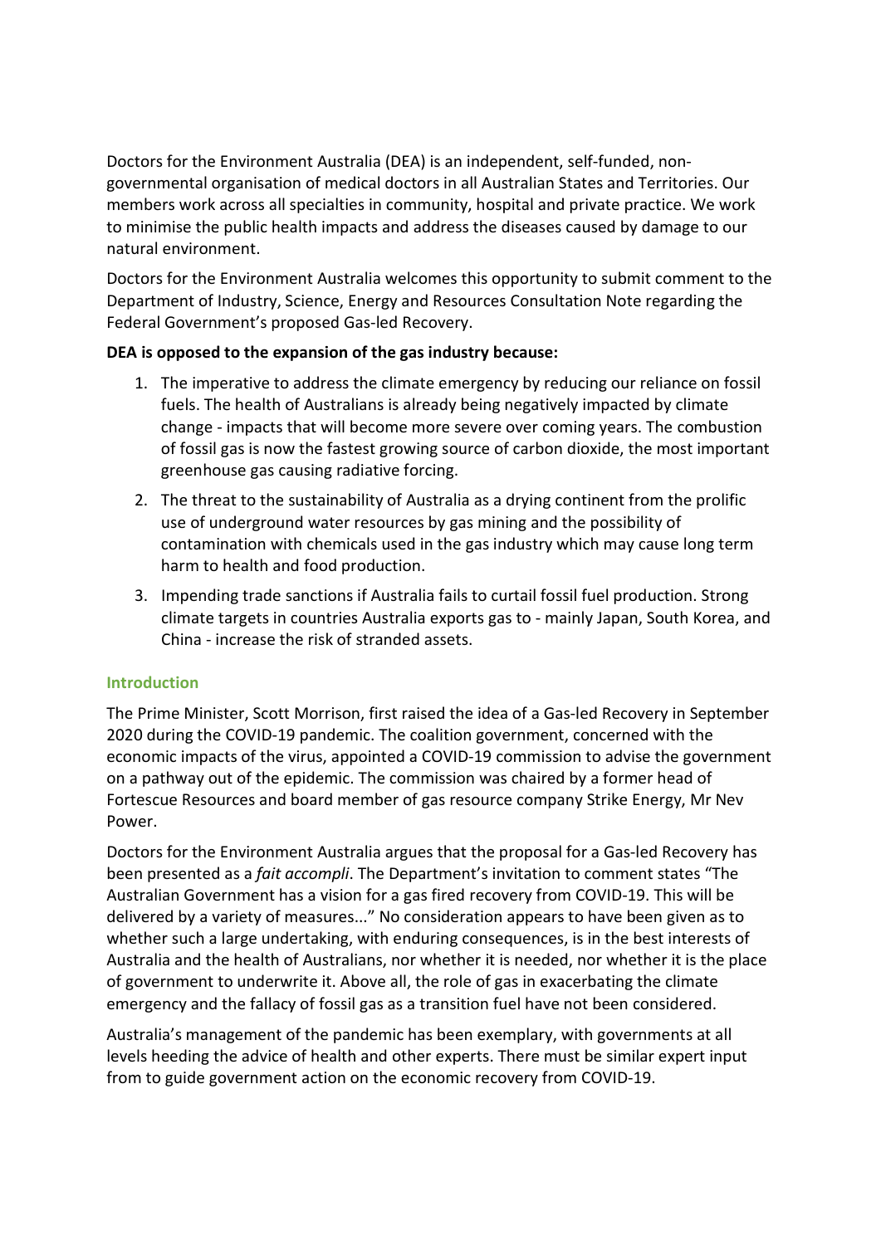Doctors for the Environment Australia (DEA) is an independent, self-funded, nongovernmental organisation of medical doctors in all Australian States and Territories. Our members work across all specialties in community, hospital and private practice. We work to minimise the public health impacts and address the diseases caused by damage to our natural environment.

Doctors for the Environment Australia welcomes this opportunity to submit comment to the Department of Industry, Science, Energy and Resources Consultation Note regarding the Federal Government's proposed Gas-led Recovery.

# DEA is opposed to the expansion of the gas industry because:

- 1. The imperative to address the climate emergency by reducing our reliance on fossil fuels. The health of Australians is already being negatively impacted by climate change - impacts that will become more severe over coming years. The combustion of fossil gas is now the fastest growing source of carbon dioxide, the most important greenhouse gas causing radiative forcing.
- 2. The threat to the sustainability of Australia as a drying continent from the prolific use of underground water resources by gas mining and the possibility of contamination with chemicals used in the gas industry which may cause long term harm to health and food production.
- 3. Impending trade sanctions if Australia fails to curtail fossil fuel production. Strong climate targets in countries Australia exports gas to - mainly Japan, South Korea, and China - increase the risk of stranded assets.

# Introduction

The Prime Minister, Scott Morrison, first raised the idea of a Gas-led Recovery in September 2020 during the COVID-19 pandemic. The coalition government, concerned with the economic impacts of the virus, appointed a COVID-19 commission to advise the government on a pathway out of the epidemic. The commission was chaired by a former head of Fortescue Resources and board member of gas resource company Strike Energy, Mr Nev Power.

Doctors for the Environment Australia argues that the proposal for a Gas-led Recovery has been presented as a *fait accompli*. The Department's invitation to comment states "The Australian Government has a vision for a gas fired recovery from COVID-19. This will be delivered by a variety of measures..." No consideration appears to have been given as to whether such a large undertaking, with enduring consequences, is in the best interests of Australia and the health of Australians, nor whether it is needed, nor whether it is the place of government to underwrite it. Above all, the role of gas in exacerbating the climate emergency and the fallacy of fossil gas as a transition fuel have not been considered.

Australia's management of the pandemic has been exemplary, with governments at all levels heeding the advice of health and other experts. There must be similar expert input from to guide government action on the economic recovery from COVID-19.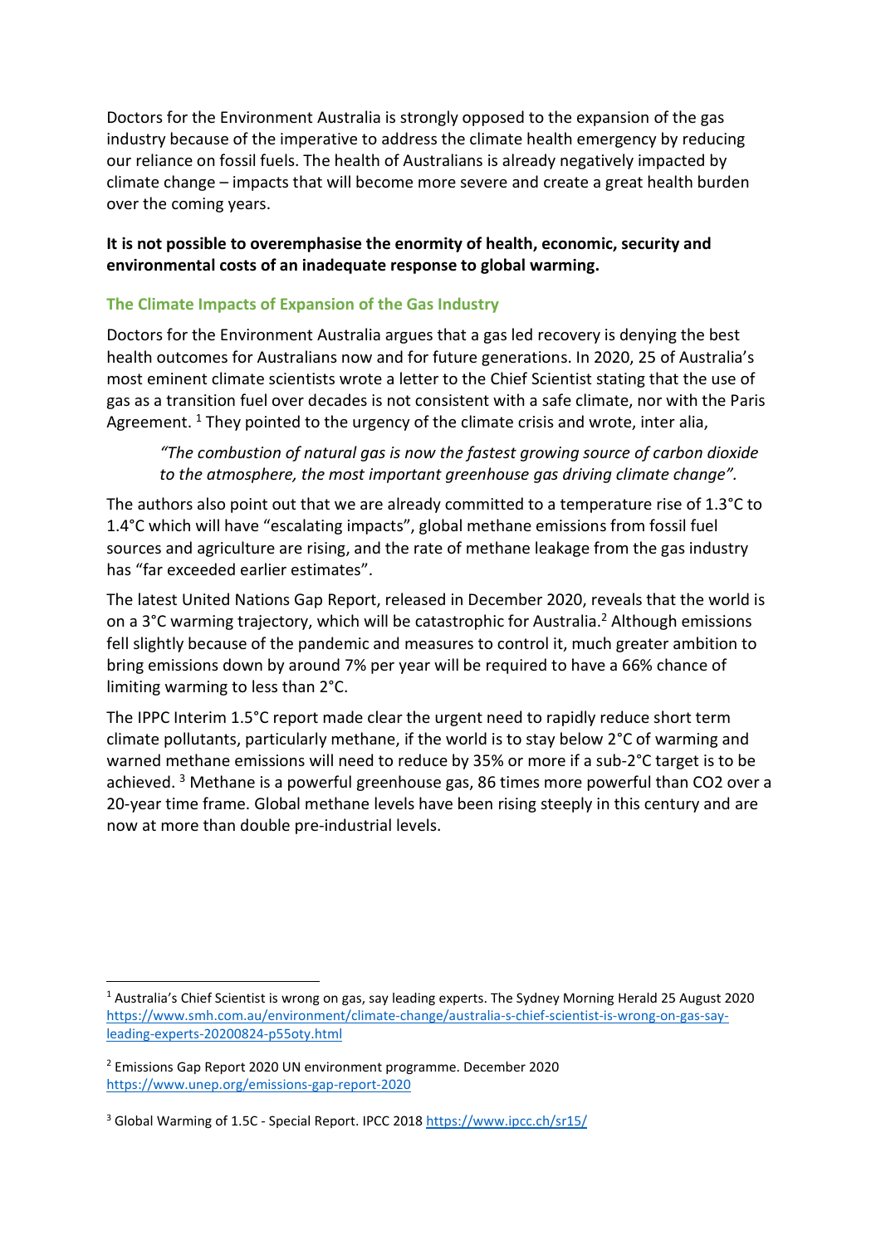Doctors for the Environment Australia is strongly opposed to the expansion of the gas industry because of the imperative to address the climate health emergency by reducing our reliance on fossil fuels. The health of Australians is already negatively impacted by climate change – impacts that will become more severe and create a great health burden over the coming years.

## It is not possible to overemphasise the enormity of health, economic, security and environmental costs of an inadequate response to global warming.

# The Climate Impacts of Expansion of the Gas Industry

Doctors for the Environment Australia argues that a gas led recovery is denying the best health outcomes for Australians now and for future generations. In 2020, 25 of Australia's most eminent climate scientists wrote a letter to the Chief Scientist stating that the use of gas as a transition fuel over decades is not consistent with a safe climate, nor with the Paris Agreement.<sup>1</sup> They pointed to the urgency of the climate crisis and wrote, inter alia,

"The combustion of natural gas is now the fastest growing source of carbon dioxide to the atmosphere, the most important greenhouse gas driving climate change".

The authors also point out that we are already committed to a temperature rise of 1.3°C to 1.4°C which will have "escalating impacts", global methane emissions from fossil fuel sources and agriculture are rising, and the rate of methane leakage from the gas industry has "far exceeded earlier estimates".

The latest United Nations Gap Report, released in December 2020, reveals that the world is on a 3°C warming trajectory, which will be catastrophic for Australia.<sup>2</sup> Although emissions fell slightly because of the pandemic and measures to control it, much greater ambition to bring emissions down by around 7% per year will be required to have a 66% chance of limiting warming to less than 2°C.

The IPPC Interim 1.5°C report made clear the urgent need to rapidly reduce short term climate pollutants, particularly methane, if the world is to stay below 2°C of warming and warned methane emissions will need to reduce by 35% or more if a sub-2°C target is to be achieved.<sup>3</sup> Methane is a powerful greenhouse gas, 86 times more powerful than CO2 over a 20-year time frame. Global methane levels have been rising steeply in this century and are now at more than double pre-industrial levels.

<sup>&</sup>lt;sup>1</sup> Australia's Chief Scientist is wrong on gas, say leading experts. The Sydney Morning Herald 25 August 2020 https://www.smh.com.au/environment/climate-change/australia-s-chief-scientist-is-wrong-on-gas-sayleading-experts-20200824-p55oty.html

<sup>2</sup> Emissions Gap Report 2020 UN environment programme. December 2020 https://www.unep.org/emissions-gap-report-2020

<sup>&</sup>lt;sup>3</sup> Global Warming of 1.5C - Special Report. IPCC 2018 https://www.ipcc.ch/sr15/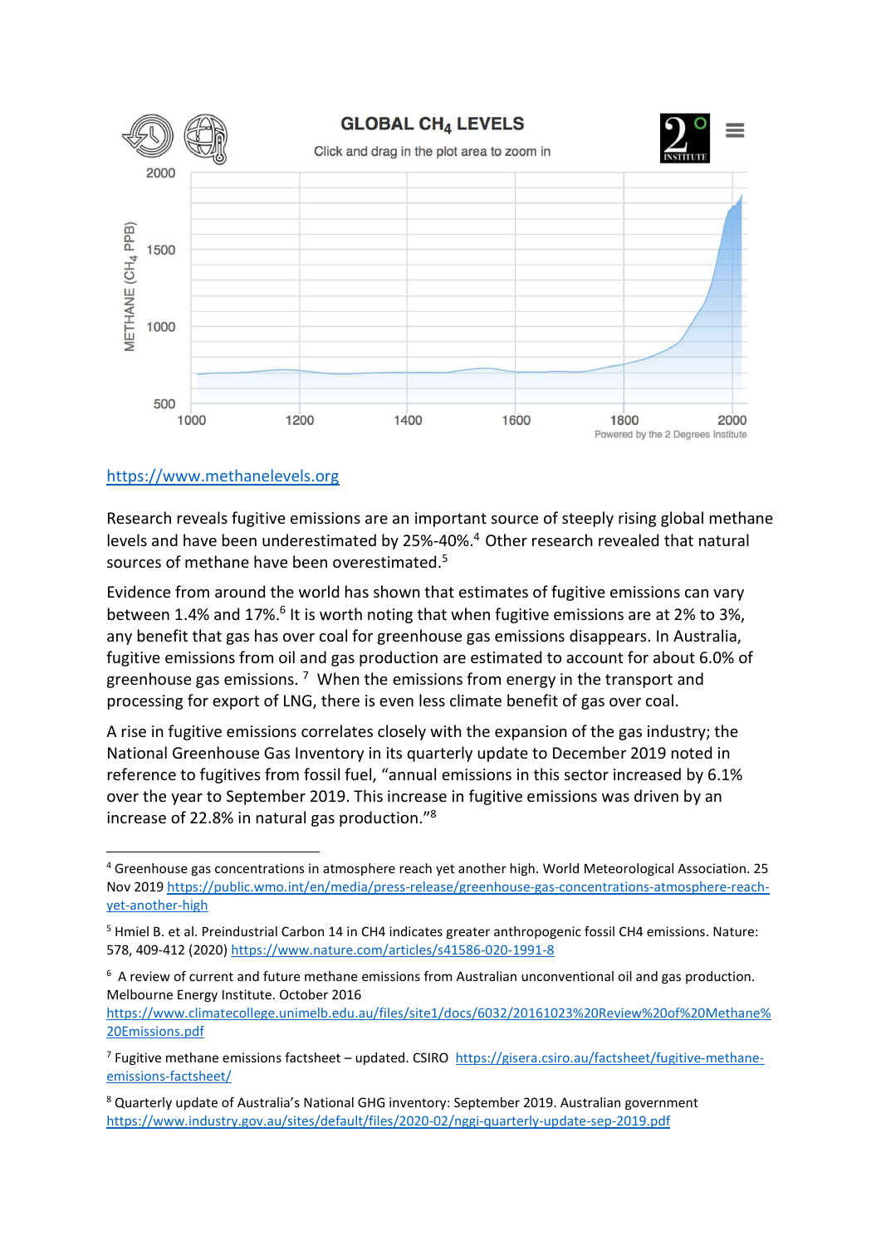

## https://www.methanelevels.org

Research reveals fugitive emissions are an important source of steeply rising global methane levels and have been underestimated by 25%-40%.<sup>4</sup> Other research revealed that natural sources of methane have been overestimated.<sup>5</sup>

Evidence from around the world has shown that estimates of fugitive emissions can vary between 1.4% and 17%.<sup>6</sup> It is worth noting that when fugitive emissions are at 2% to 3%, any benefit that gas has over coal for greenhouse gas emissions disappears. In Australia, fugitive emissions from oil and gas production are estimated to account for about 6.0% of greenhouse gas emissions.  $7\,$  When the emissions from energy in the transport and processing for export of LNG, there is even less climate benefit of gas over coal.

A rise in fugitive emissions correlates closely with the expansion of the gas industry; the National Greenhouse Gas Inventory in its quarterly update to December 2019 noted in reference to fugitives from fossil fuel, "annual emissions in this sector increased by 6.1% over the year to September 2019. This increase in fugitive emissions was driven by an increase of 22.8% in natural gas production."<sup>8</sup>

<sup>4</sup> Greenhouse gas concentrations in atmosphere reach yet another high. World Meteorological Association. 25 Nov 2019 https://public.wmo.int/en/media/press-release/greenhouse-gas-concentrations-atmosphere-reachyet-another-high

<sup>&</sup>lt;sup>5</sup> Hmiel B. et al. Preindustrial Carbon 14 in CH4 indicates greater anthropogenic fossil CH4 emissions. Nature: 578, 409-412 (2020) https://www.nature.com/articles/s41586-020-1991-8

<sup>&</sup>lt;sup>6</sup> A review of current and future methane emissions from Australian unconventional oil and gas production. Melbourne Energy Institute. October 2016

https://www.climatecollege.unimelb.edu.au/files/site1/docs/6032/20161023%20Review%20of%20Methane% 20Emissions.pdf

<sup>&</sup>lt;sup>7</sup> Fugitive methane emissions factsheet – updated. CSIRO https://gisera.csiro.au/factsheet/fugitive-methaneemissions-factsheet/

<sup>&</sup>lt;sup>8</sup> Quarterly update of Australia's National GHG inventory: September 2019. Australian government https://www.industry.gov.au/sites/default/files/2020-02/nggi-quarterly-update-sep-2019.pdf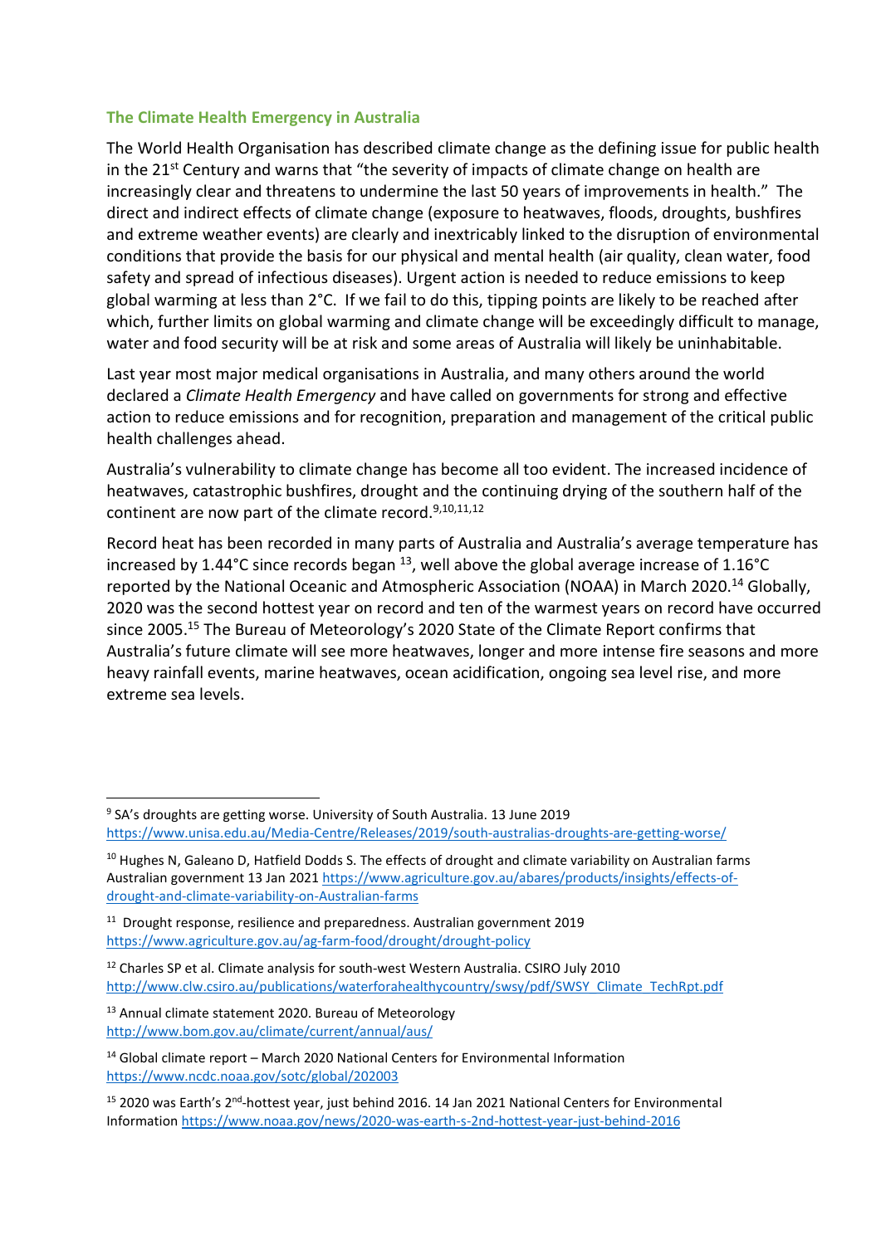## The Climate Health Emergency in Australia

The World Health Organisation has described climate change as the defining issue for public health in the  $21^{st}$  Century and warns that "the severity of impacts of climate change on health are increasingly clear and threatens to undermine the last 50 years of improvements in health." The direct and indirect effects of climate change (exposure to heatwaves, floods, droughts, bushfires and extreme weather events) are clearly and inextricably linked to the disruption of environmental conditions that provide the basis for our physical and mental health (air quality, clean water, food safety and spread of infectious diseases). Urgent action is needed to reduce emissions to keep global warming at less than 2°C. If we fail to do this, tipping points are likely to be reached after which, further limits on global warming and climate change will be exceedingly difficult to manage, water and food security will be at risk and some areas of Australia will likely be uninhabitable.

Last year most major medical organisations in Australia, and many others around the world declared a Climate Health Emergency and have called on governments for strong and effective action to reduce emissions and for recognition, preparation and management of the critical public health challenges ahead.

Australia's vulnerability to climate change has become all too evident. The increased incidence of heatwaves, catastrophic bushfires, drought and the continuing drying of the southern half of the continent are now part of the climate record.<sup>9,10,11,12</sup>

Record heat has been recorded in many parts of Australia and Australia's average temperature has increased by 1.44°C since records began  $^{13}$ , well above the global average increase of 1.16°C reported by the National Oceanic and Atmospheric Association (NOAA) in March 2020.<sup>14</sup> Globally, 2020 was the second hottest year on record and ten of the warmest years on record have occurred since 2005.<sup>15</sup> The Bureau of Meteorology's 2020 State of the Climate Report confirms that Australia's future climate will see more heatwaves, longer and more intense fire seasons and more heavy rainfall events, marine heatwaves, ocean acidification, ongoing sea level rise, and more extreme sea levels.

<sup>&</sup>lt;sup>9</sup> SA's droughts are getting worse. University of South Australia. 13 June 2019 https://www.unisa.edu.au/Media-Centre/Releases/2019/south-australias-droughts-are-getting-worse/

<sup>&</sup>lt;sup>10</sup> Hughes N, Galeano D, Hatfield Dodds S. The effects of drought and climate variability on Australian farms Australian government 13 Jan 2021 https://www.agriculture.gov.au/abares/products/insights/effects-ofdrought-and-climate-variability-on-Australian-farms

<sup>&</sup>lt;sup>11</sup> Drought response, resilience and preparedness. Australian government 2019 https://www.agriculture.gov.au/ag-farm-food/drought/drought-policy

<sup>&</sup>lt;sup>12</sup> Charles SP et al. Climate analysis for south-west Western Australia. CSIRO July 2010 http://www.clw.csiro.au/publications/waterforahealthycountry/swsy/pdf/SWSY\_Climate\_TechRpt.pdf

<sup>13</sup> Annual climate statement 2020. Bureau of Meteorology http://www.bom.gov.au/climate/current/annual/aus/

<sup>14</sup> Global climate report – March 2020 National Centers for Environmental Information https://www.ncdc.noaa.gov/sotc/global/202003

<sup>&</sup>lt;sup>15</sup> 2020 was Earth's 2<sup>nd</sup>-hottest year, just behind 2016. 14 Jan 2021 National Centers for Environmental Information https://www.noaa.gov/news/2020-was-earth-s-2nd-hottest-year-just-behind-2016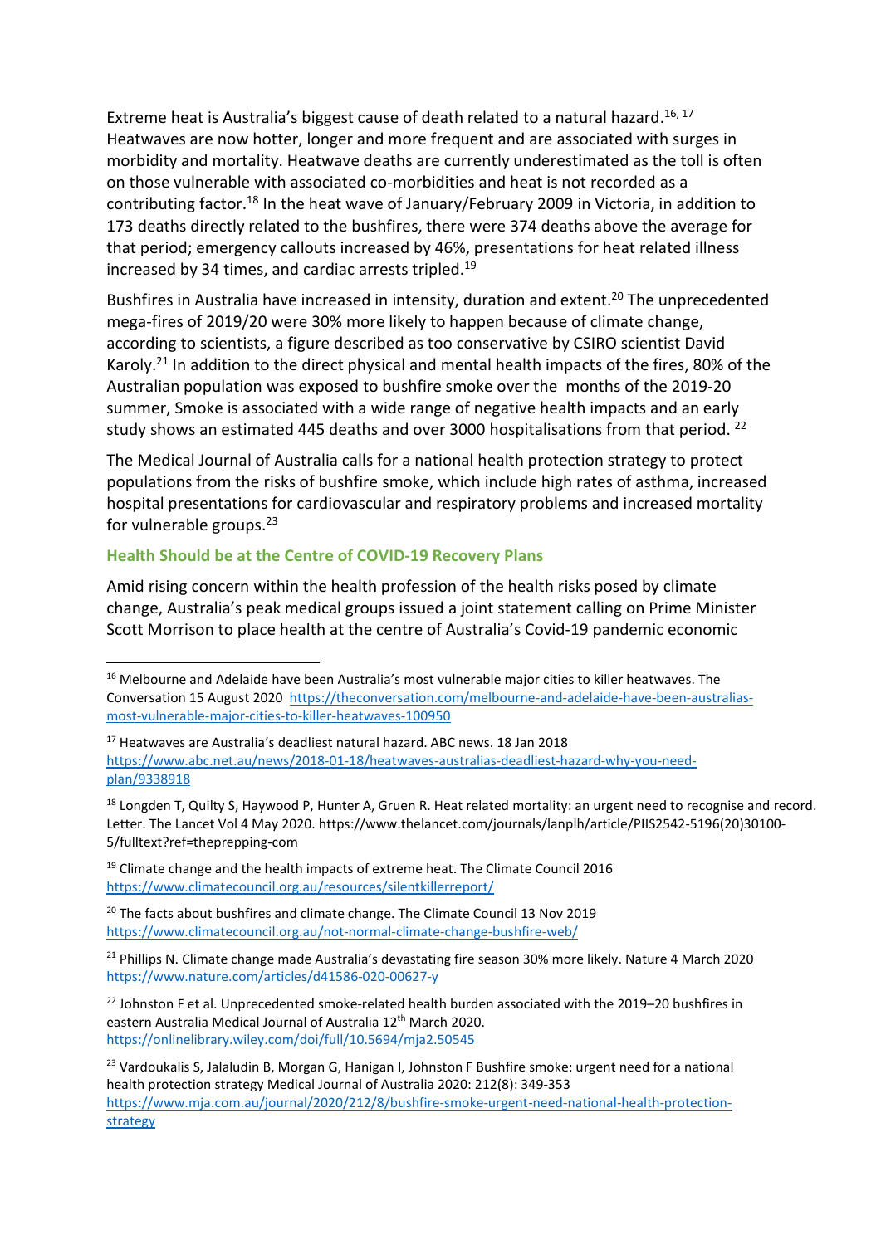Extreme heat is Australia's biggest cause of death related to a natural hazard.<sup>16, 17</sup> Heatwaves are now hotter, longer and more frequent and are associated with surges in morbidity and mortality. Heatwave deaths are currently underestimated as the toll is often on those vulnerable with associated co-morbidities and heat is not recorded as a contributing factor.<sup>18</sup> In the heat wave of January/February 2009 in Victoria, in addition to 173 deaths directly related to the bushfires, there were 374 deaths above the average for that period; emergency callouts increased by 46%, presentations for heat related illness increased by 34 times, and cardiac arrests tripled.<sup>19</sup>

Bushfires in Australia have increased in intensity, duration and extent.<sup>20</sup> The unprecedented mega-fires of 2019/20 were 30% more likely to happen because of climate change, according to scientists, a figure described as too conservative by CSIRO scientist David Karoly.<sup>21</sup> In addition to the direct physical and mental health impacts of the fires, 80% of the Australian population was exposed to bushfire smoke over the months of the 2019-20 summer, Smoke is associated with a wide range of negative health impacts and an early study shows an estimated 445 deaths and over 3000 hospitalisations from that period. <sup>22</sup>

The Medical Journal of Australia calls for a national health protection strategy to protect populations from the risks of bushfire smoke, which include high rates of asthma, increased hospital presentations for cardiovascular and respiratory problems and increased mortality for vulnerable groups. $23$ 

#### Health Should be at the Centre of COVID-19 Recovery Plans

Amid rising concern within the health profession of the health risks posed by climate change, Australia's peak medical groups issued a joint statement calling on Prime Minister Scott Morrison to place health at the centre of Australia's Covid-19 pandemic economic

<sup>&</sup>lt;sup>16</sup> Melbourne and Adelaide have been Australia's most vulnerable major cities to killer heatwaves. The Conversation 15 August 2020 https://theconversation.com/melbourne-and-adelaide-have-been-australiasmost-vulnerable-major-cities-to-killer-heatwaves-100950

<sup>17</sup> Heatwaves are Australia's deadliest natural hazard. ABC news. 18 Jan 2018 https://www.abc.net.au/news/2018-01-18/heatwaves-australias-deadliest-hazard-why-you-needplan/9338918

 $18$  Longden T, Quilty S, Haywood P, Hunter A, Gruen R, Heat related mortality; an urgent need to recognise and record. Letter. The Lancet Vol 4 May 2020. https://www.thelancet.com/journals/lanplh/article/PIIS2542-5196(20)30100- 5/fulltext?ref=theprepping-com

<sup>19</sup> Climate change and the health impacts of extreme heat. The Climate Council 2016 https://www.climatecouncil.org.au/resources/silentkillerreport/

<sup>&</sup>lt;sup>20</sup> The facts about bushfires and climate change. The Climate Council 13 Nov 2019 https://www.climatecouncil.org.au/not-normal-climate-change-bushfire-web/

<sup>&</sup>lt;sup>21</sup> Phillips N. Climate change made Australia's devastating fire season 30% more likely. Nature 4 March 2020 https://www.nature.com/articles/d41586-020-00627-y

<sup>&</sup>lt;sup>22</sup> Johnston F et al. Unprecedented smoke-related health burden associated with the 2019–20 bushfires in eastern Australia Medical Journal of Australia 12<sup>th</sup> March 2020. https://onlinelibrary.wiley.com/doi/full/10.5694/mja2.50545

<sup>&</sup>lt;sup>23</sup> Vardoukalis S, Jalaludin B, Morgan G, Hanigan I, Johnston F Bushfire smoke: urgent need for a national health protection strategy Medical Journal of Australia 2020: 212(8): 349-353 https://www.mja.com.au/journal/2020/212/8/bushfire-smoke-urgent-need-national-health-protectionstrategy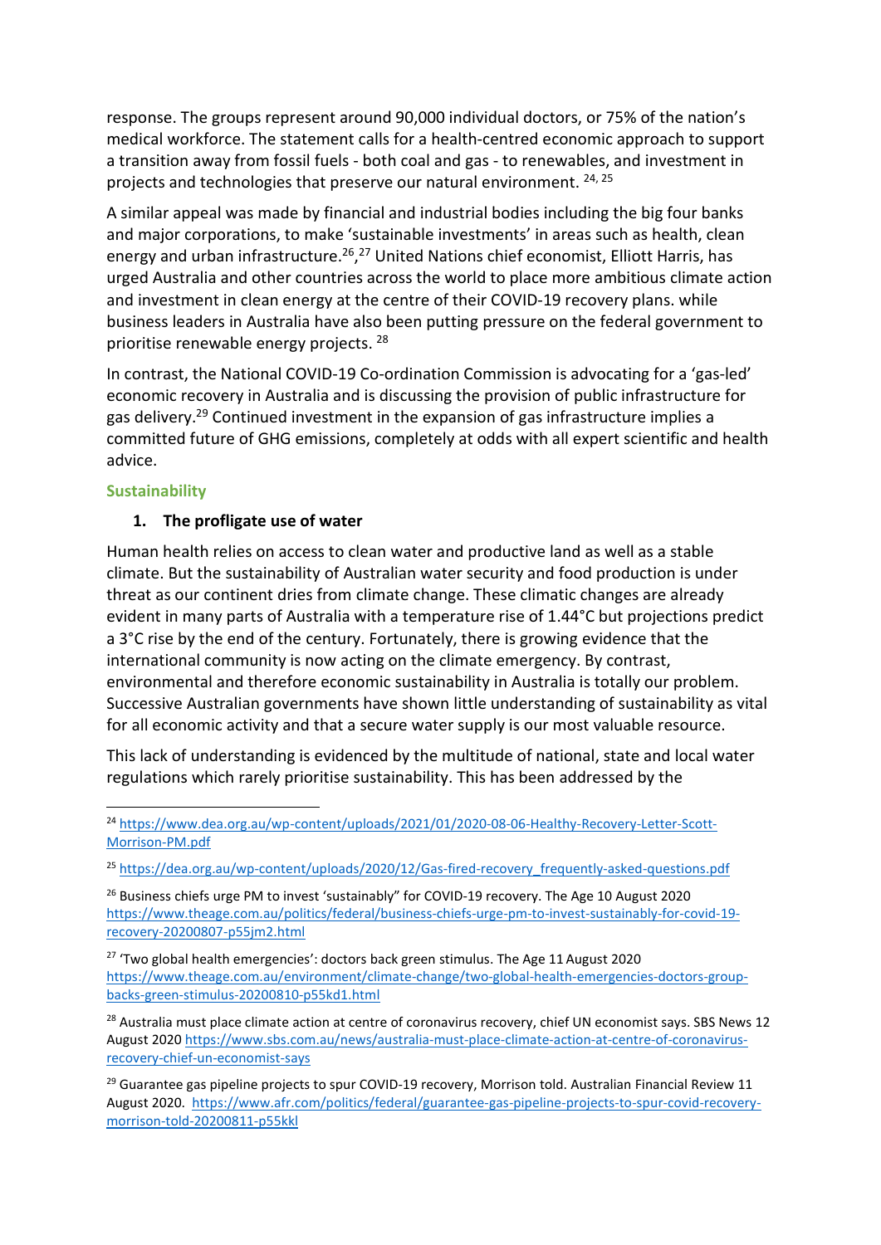response. The groups represent around 90,000 individual doctors, or 75% of the nation's medical workforce. The statement calls for a health-centred economic approach to support a transition away from fossil fuels - both coal and gas - to renewables, and investment in projects and technologies that preserve our natural environment. <sup>24, 25</sup>

A similar appeal was made by financial and industrial bodies including the big four banks and major corporations, to make 'sustainable investments' in areas such as health, clean energy and urban infrastructure.<sup>26</sup>,<sup>27</sup> United Nations chief economist, Elliott Harris, has urged Australia and other countries across the world to place more ambitious climate action and investment in clean energy at the centre of their COVID-19 recovery plans. while business leaders in Australia have also been putting pressure on the federal government to prioritise renewable energy projects. <sup>28</sup>

In contrast, the National COVID-19 Co-ordination Commission is advocating for a 'gas-led' economic recovery in Australia and is discussing the provision of public infrastructure for gas delivery.<sup>29</sup> Continued investment in the expansion of gas infrastructure implies a committed future of GHG emissions, completely at odds with all expert scientific and health advice.

# **Sustainability**

## 1. The profligate use of water

Human health relies on access to clean water and productive land as well as a stable climate. But the sustainability of Australian water security and food production is under threat as our continent dries from climate change. These climatic changes are already evident in many parts of Australia with a temperature rise of 1.44°C but projections predict a 3°C rise by the end of the century. Fortunately, there is growing evidence that the international community is now acting on the climate emergency. By contrast, environmental and therefore economic sustainability in Australia is totally our problem. Successive Australian governments have shown little understanding of sustainability as vital for all economic activity and that a secure water supply is our most valuable resource.

This lack of understanding is evidenced by the multitude of national, state and local water regulations which rarely prioritise sustainability. This has been addressed by the

<sup>24</sup> https://www.dea.org.au/wp-content/uploads/2021/01/2020-08-06-Healthy-Recovery-Letter-Scott-Morrison-PM.pdf

<sup>&</sup>lt;sup>25</sup> https://dea.org.au/wp-content/uploads/2020/12/Gas-fired-recovery\_frequently-asked-questions.pdf

<sup>&</sup>lt;sup>26</sup> Business chiefs urge PM to invest 'sustainably" for COVID-19 recovery. The Age 10 August 2020 https://www.theage.com.au/politics/federal/business-chiefs-urge-pm-to-invest-sustainably-for-covid-19 recovery-20200807-p55jm2.html

 $27$  'Two global health emergencies': doctors back green stimulus. The Age 11 August 2020 https://www.theage.com.au/environment/climate-change/two-global-health-emergencies-doctors-groupbacks-green-stimulus-20200810-p55kd1.html

<sup>&</sup>lt;sup>28</sup> Australia must place climate action at centre of coronavirus recovery, chief UN economist says. SBS News 12 August 2020 https://www.sbs.com.au/news/australia-must-place-climate-action-at-centre-of-coronavirusrecovery-chief-un-economist-says

 $29$  Guarantee gas pipeline projects to spur COVID-19 recovery, Morrison told. Australian Financial Review 11 August 2020. https://www.afr.com/politics/federal/guarantee-gas-pipeline-projects-to-spur-covid-recoverymorrison-told-20200811-p55kkl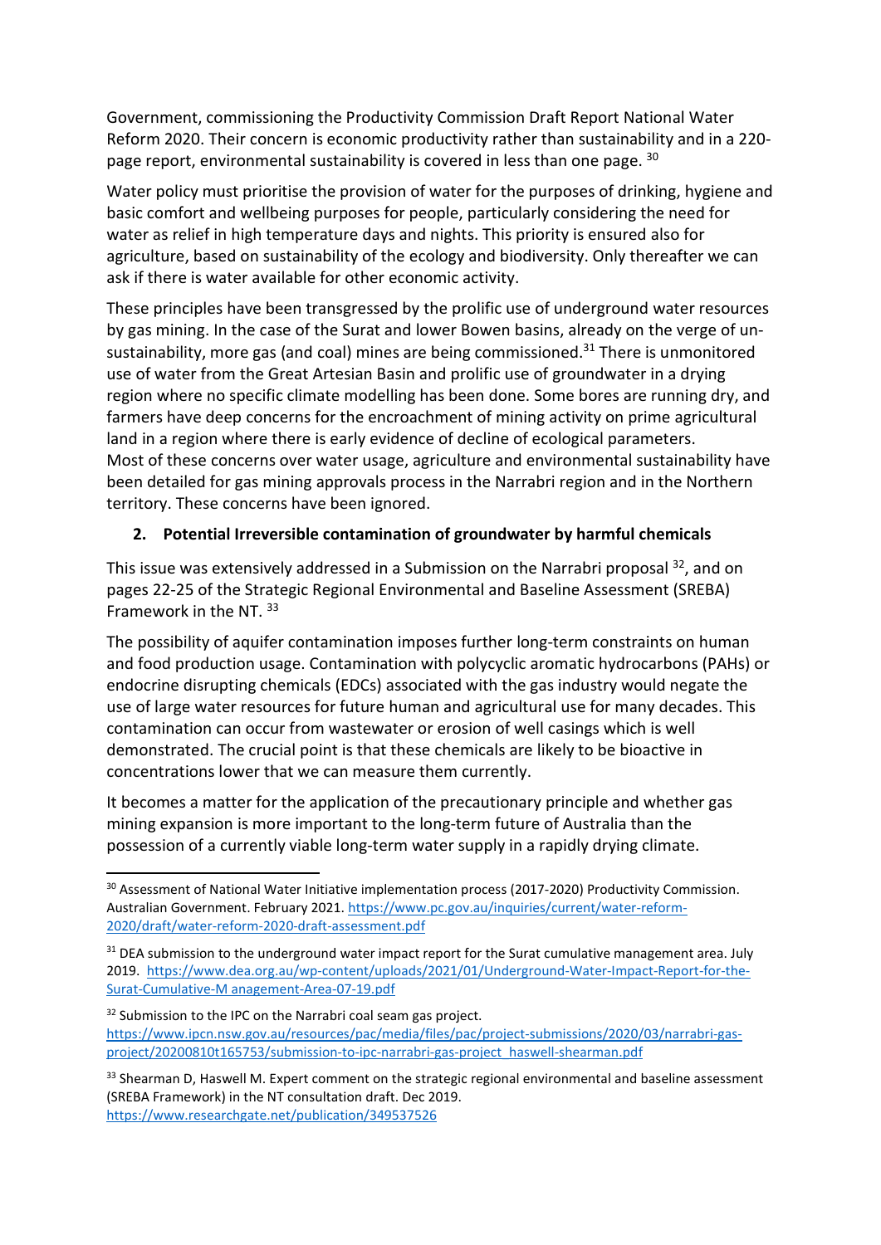Government, commissioning the Productivity Commission Draft Report National Water Reform 2020. Their concern is economic productivity rather than sustainability and in a 220 page report, environmental sustainability is covered in less than one page. 30

Water policy must prioritise the provision of water for the purposes of drinking, hygiene and basic comfort and wellbeing purposes for people, particularly considering the need for water as relief in high temperature days and nights. This priority is ensured also for agriculture, based on sustainability of the ecology and biodiversity. Only thereafter we can ask if there is water available for other economic activity.

These principles have been transgressed by the prolific use of underground water resources by gas mining. In the case of the Surat and lower Bowen basins, already on the verge of unsustainability, more gas (and coal) mines are being commissioned.<sup>31</sup> There is unmonitored use of water from the Great Artesian Basin and prolific use of groundwater in a drying region where no specific climate modelling has been done. Some bores are running dry, and farmers have deep concerns for the encroachment of mining activity on prime agricultural land in a region where there is early evidence of decline of ecological parameters. Most of these concerns over water usage, agriculture and environmental sustainability have been detailed for gas mining approvals process in the Narrabri region and in the Northern territory. These concerns have been ignored.

# 2. Potential Irreversible contamination of groundwater by harmful chemicals

This issue was extensively addressed in a Submission on the Narrabri proposal <sup>32</sup>, and on pages 22-25 of the Strategic Regional Environmental and Baseline Assessment (SREBA) Framework in the NT. 33

The possibility of aquifer contamination imposes further long-term constraints on human and food production usage. Contamination with polycyclic aromatic hydrocarbons (PAHs) or endocrine disrupting chemicals (EDCs) associated with the gas industry would negate the use of large water resources for future human and agricultural use for many decades. This contamination can occur from wastewater or erosion of well casings which is well demonstrated. The crucial point is that these chemicals are likely to be bioactive in concentrations lower that we can measure them currently.

It becomes a matter for the application of the precautionary principle and whether gas mining expansion is more important to the long-term future of Australia than the possession of a currently viable long-term water supply in a rapidly drying climate.

<sup>&</sup>lt;sup>30</sup> Assessment of National Water Initiative implementation process (2017-2020) Productivity Commission. Australian Government. February 2021. https://www.pc.gov.au/inquiries/current/water-reform-2020/draft/water-reform-2020-draft-assessment.pdf

<sup>&</sup>lt;sup>31</sup> DEA submission to the underground water impact report for the Surat cumulative management area. July 2019. https://www.dea.org.au/wp-content/uploads/2021/01/Underground-Water-Impact-Report-for-the-Surat-Cumulative-M anagement-Area-07-19.pdf

<sup>&</sup>lt;sup>32</sup> Submission to the IPC on the Narrabri coal seam gas project. https://www.ipcn.nsw.gov.au/resources/pac/media/files/pac/project-submissions/2020/03/narrabri-gasproject/20200810t165753/submission-to-ipc-narrabri-gas-project\_haswell-shearman.pdf

<sup>33</sup> Shearman D, Haswell M. Expert comment on the strategic regional environmental and baseline assessment (SREBA Framework) in the NT consultation draft. Dec 2019. https://www.researchgate.net/publication/349537526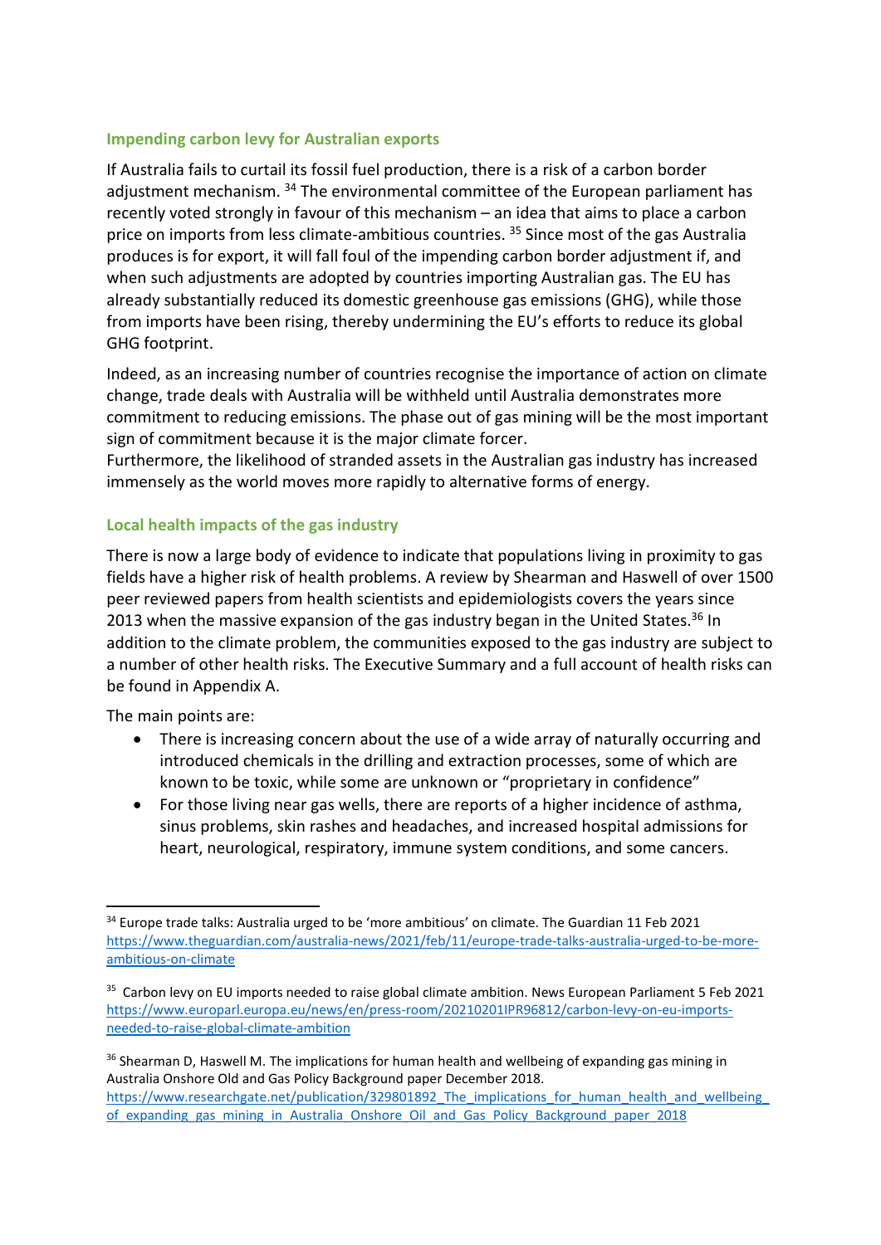## Impending carbon levy for Australian exports

If Australia fails to curtail its fossil fuel production, there is a risk of a carbon border adjustment mechanism. <sup>34</sup> The environmental committee of the European parliament has recently voted strongly in favour of this mechanism – an idea that aims to place a carbon price on imports from less climate-ambitious countries.<sup>35</sup> Since most of the gas Australia produces is for export, it will fall foul of the impending carbon border adjustment if, and when such adjustments are adopted by countries importing Australian gas. The EU has already substantially reduced its domestic greenhouse gas emissions (GHG), while those from imports have been rising, thereby undermining the EU's efforts to reduce its global GHG footprint.

Indeed, as an increasing number of countries recognise the importance of action on climate change, trade deals with Australia will be withheld until Australia demonstrates more commitment to reducing emissions. The phase out of gas mining will be the most important sign of commitment because it is the major climate forcer.

Furthermore, the likelihood of stranded assets in the Australian gas industry has increased immensely as the world moves more rapidly to alternative forms of energy.

# Local health impacts of the gas industry

There is now a large body of evidence to indicate that populations living in proximity to gas fields have a higher risk of health problems. A review by Shearman and Haswell of over 1500 peer reviewed papers from health scientists and epidemiologists covers the years since 2013 when the massive expansion of the gas industry began in the United States.<sup>36</sup> In addition to the climate problem, the communities exposed to the gas industry are subject to a number of other health risks. The Executive Summary and a full account of health risks can be found in Appendix A.

The main points are:

- There is increasing concern about the use of a wide array of naturally occurring and introduced chemicals in the drilling and extraction processes, some of which are known to be toxic, while some are unknown or "proprietary in confidence"
- For those living near gas wells, there are reports of a higher incidence of asthma, sinus problems, skin rashes and headaches, and increased hospital admissions for heart, neurological, respiratory, immune system conditions, and some cancers.

<sup>&</sup>lt;sup>34</sup> Europe trade talks: Australia urged to be 'more ambitious' on climate. The Guardian 11 Feb 2021 https://www.theguardian.com/australia-news/2021/feb/11/europe-trade-talks-australia-urged-to-be-moreambitious-on-climate

<sup>&</sup>lt;sup>35</sup> Carbon levy on EU imports needed to raise global climate ambition. News European Parliament 5 Feb 2021 https://www.europarl.europa.eu/news/en/press-room/20210201IPR96812/carbon-levy-on-eu-importsneeded-to-raise-global-climate-ambition

<sup>&</sup>lt;sup>36</sup> Shearman D, Haswell M. The implications for human health and wellbeing of expanding gas mining in Australia Onshore Old and Gas Policy Background paper December 2018. https://www.researchgate.net/publication/329801892\_The\_implications\_for\_human\_health\_and\_wellbeing of\_expanding\_gas\_mining\_in\_Australia\_Onshore\_Oil\_and\_Gas\_Policy\_Background\_paper\_2018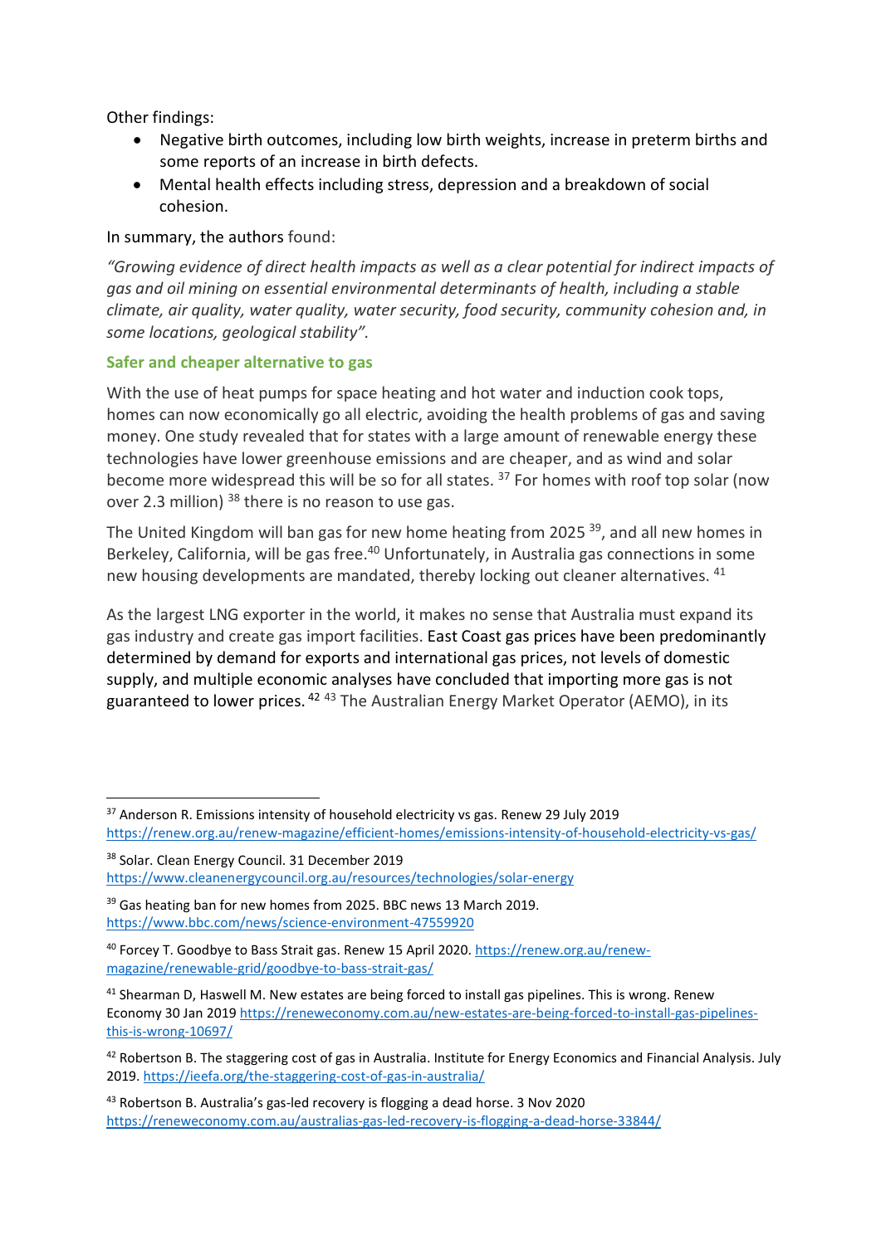Other findings:

- Negative birth outcomes, including low birth weights, increase in preterm births and some reports of an increase in birth defects.
- Mental health effects including stress, depression and a breakdown of social cohesion.

# In summary, the authors found:

"Growing evidence of direct health impacts as well as a clear potential for indirect impacts of gas and oil mining on essential environmental determinants of health, including a stable climate, air quality, water quality, water security, food security, community cohesion and, in some locations, geological stability".

## Safer and cheaper alternative to gas

With the use of heat pumps for space heating and hot water and induction cook tops, homes can now economically go all electric, avoiding the health problems of gas and saving money. One study revealed that for states with a large amount of renewable energy these technologies have lower greenhouse emissions and are cheaper, and as wind and solar become more widespread this will be so for all states. <sup>37</sup> For homes with roof top solar (now over 2.3 million) <sup>38</sup> there is no reason to use gas.

The United Kingdom will ban gas for new home heating from 2025<sup>39</sup>, and all new homes in Berkeley, California, will be gas free.<sup>40</sup> Unfortunately, in Australia gas connections in some new housing developments are mandated, thereby locking out cleaner alternatives. <sup>41</sup>

As the largest LNG exporter in the world, it makes no sense that Australia must expand its gas industry and create gas import facilities. East Coast gas prices have been predominantly determined by demand for exports and international gas prices, not levels of domestic supply, and multiple economic analyses have concluded that importing more gas is not guaranteed to lower prices.<sup>42 43</sup> The Australian Energy Market Operator (AEMO), in its

<sup>&</sup>lt;sup>37</sup> Anderson R. Emissions intensity of household electricity vs gas. Renew 29 July 2019 https://renew.org.au/renew-magazine/efficient-homes/emissions-intensity-of-household-electricity-vs-gas/

<sup>38</sup> Solar. Clean Energy Council. 31 December 2019 https://www.cleanenergycouncil.org.au/resources/technologies/solar-energy

<sup>&</sup>lt;sup>39</sup> Gas heating ban for new homes from 2025. BBC news 13 March 2019. https://www.bbc.com/news/science-environment-47559920

<sup>40</sup> Forcey T. Goodbye to Bass Strait gas. Renew 15 April 2020. https://renew.org.au/renewmagazine/renewable-grid/goodbye-to-bass-strait-gas/

<sup>&</sup>lt;sup>41</sup> Shearman D, Haswell M. New estates are being forced to install gas pipelines. This is wrong. Renew Economy 30 Jan 2019 https://reneweconomy.com.au/new-estates-are-being-forced-to-install-gas-pipelinesthis-is-wrong-10697/

<sup>42</sup> Robertson B. The staggering cost of gas in Australia. Institute for Energy Economics and Financial Analysis. July 2019. https://ieefa.org/the-staggering-cost-of-gas-in-australia/

<sup>43</sup> Robertson B. Australia's gas-led recovery is flogging a dead horse. 3 Nov 2020 https://reneweconomy.com.au/australias-gas-led-recovery-is-flogging-a-dead-horse-33844/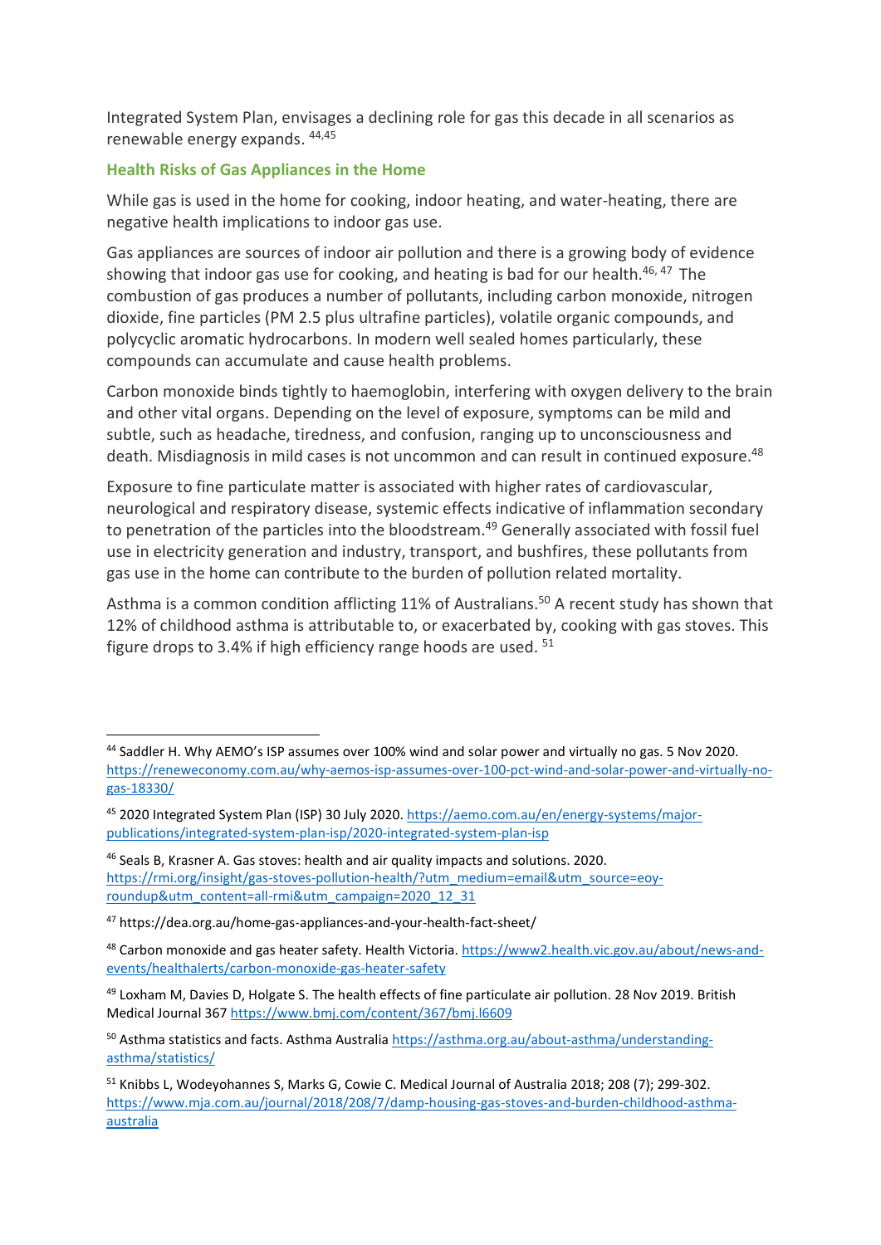Integrated System Plan, envisages a declining role for gas this decade in all scenarios as renewable energy expands. 44,45

# Health Risks of Gas Appliances in the Home

While gas is used in the home for cooking, indoor heating, and water-heating, there are negative health implications to indoor gas use.

Gas appliances are sources of indoor air pollution and there is a growing body of evidence showing that indoor gas use for cooking, and heating is bad for our health. $46,47$  The combustion of gas produces a number of pollutants, including carbon monoxide, nitrogen dioxide, fine particles (PM 2.5 plus ultrafine particles), volatile organic compounds, and polycyclic aromatic hydrocarbons. In modern well sealed homes particularly, these compounds can accumulate and cause health problems.

Carbon monoxide binds tightly to haemoglobin, interfering with oxygen delivery to the brain and other vital organs. Depending on the level of exposure, symptoms can be mild and subtle, such as headache, tiredness, and confusion, ranging up to unconsciousness and death. Misdiagnosis in mild cases is not uncommon and can result in continued exposure.<sup>48</sup>

Exposure to fine particulate matter is associated with higher rates of cardiovascular, neurological and respiratory disease, systemic effects indicative of inflammation secondary to penetration of the particles into the bloodstream.<sup>49</sup> Generally associated with fossil fuel use in electricity generation and industry, transport, and bushfires, these pollutants from gas use in the home can contribute to the burden of pollution related mortality.

Asthma is a common condition afflicting 11% of Australians.<sup>50</sup> A recent study has shown that 12% of childhood asthma is attributable to, or exacerbated by, cooking with gas stoves. This figure drops to 3.4% if high efficiency range hoods are used. <sup>51</sup>

<sup>44</sup> Saddler H. Why AEMO's ISP assumes over 100% wind and solar power and virtually no gas. 5 Nov 2020. https://reneweconomy.com.au/why-aemos-isp-assumes-over-100-pct-wind-and-solar-power-and-virtually-nogas-18330/

<sup>45 2020</sup> Integrated System Plan (ISP) 30 July 2020. https://aemo.com.au/en/energy-systems/majorpublications/integrated-system-plan-isp/2020-integrated-system-plan-isp

<sup>46</sup> Seals B, Krasner A. Gas stoves: health and air quality impacts and solutions. 2020. https://rmi.org/insight/gas-stoves-pollution-health/?utm\_medium=email&utm\_source=eoyroundup&utm\_content=all-rmi&utm\_campaign=2020\_12\_31

<sup>47</sup> https://dea.org.au/home-gas-appliances-and-your-health-fact-sheet/

<sup>48</sup> Carbon monoxide and gas heater safety. Health Victoria. https://www2.health.vic.gov.au/about/news-andevents/healthalerts/carbon-monoxide-gas-heater-safety

<sup>&</sup>lt;sup>49</sup> Loxham M, Davies D, Holgate S. The health effects of fine particulate air pollution. 28 Nov 2019. British Medical Journal 367 https://www.bmj.com/content/367/bmj.l6609

<sup>50</sup> Asthma statistics and facts. Asthma Australia https://asthma.org.au/about-asthma/understandingasthma/statistics/

<sup>51</sup> Knibbs L, Wodeyohannes S, Marks G, Cowie C. Medical Journal of Australia 2018; 208 (7); 299-302. https://www.mja.com.au/journal/2018/208/7/damp-housing-gas-stoves-and-burden-childhood-asthmaaustralia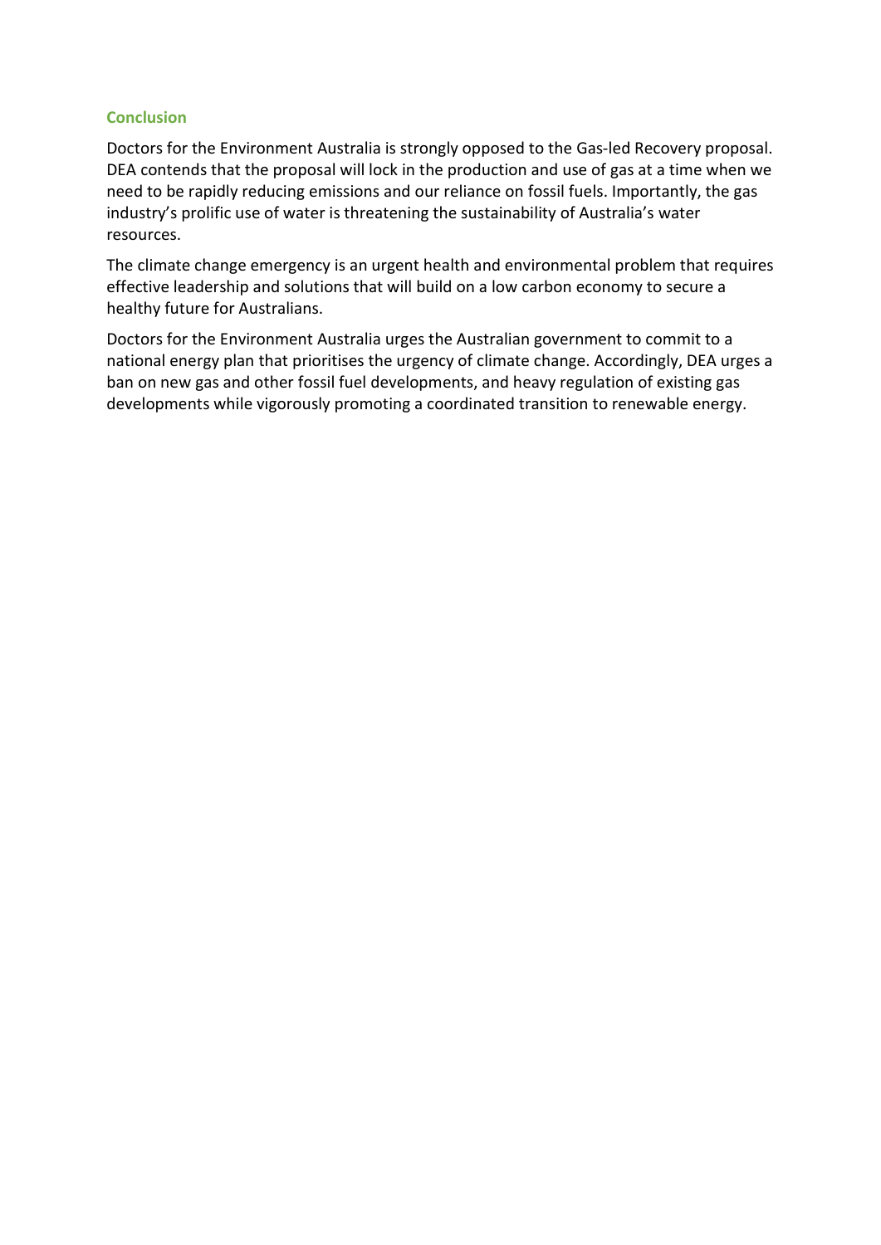## **Conclusion**

Doctors for the Environment Australia is strongly opposed to the Gas-led Recovery proposal. DEA contends that the proposal will lock in the production and use of gas at a time when we need to be rapidly reducing emissions and our reliance on fossil fuels. Importantly, the gas industry's prolific use of water is threatening the sustainability of Australia's water resources.

The climate change emergency is an urgent health and environmental problem that requires effective leadership and solutions that will build on a low carbon economy to secure a healthy future for Australians.

Doctors for the Environment Australia urges the Australian government to commit to a national energy plan that prioritises the urgency of climate change. Accordingly, DEA urges a ban on new gas and other fossil fuel developments, and heavy regulation of existing gas developments while vigorously promoting a coordinated transition to renewable energy.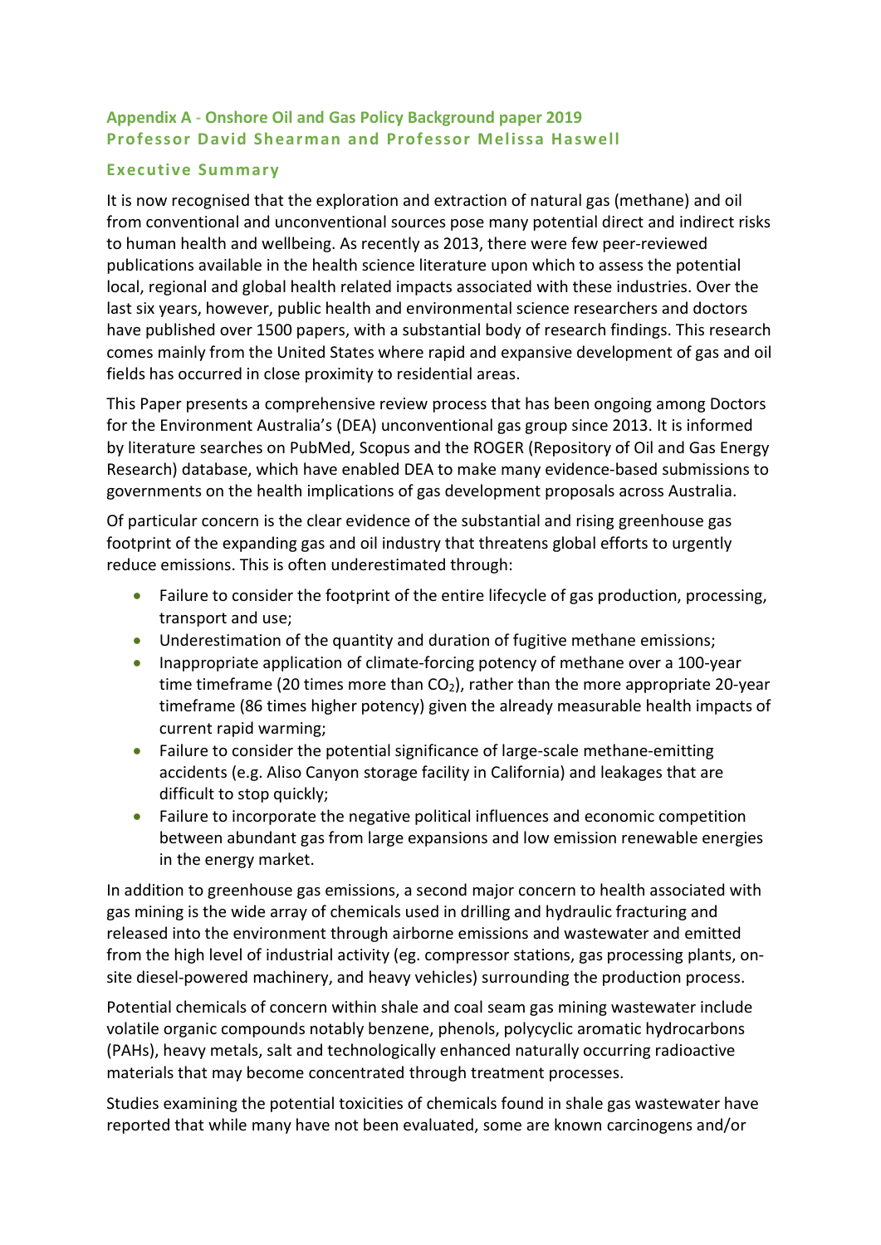# Appendix A - Onshore Oil and Gas Policy Background paper 2019 Professor David Shearman and Professor Melissa Haswell

# Executive Summary

It is now recognised that the exploration and extraction of natural gas (methane) and oil from conventional and unconventional sources pose many potential direct and indirect risks to human health and wellbeing. As recently as 2013, there were few peer-reviewed publications available in the health science literature upon which to assess the potential local, regional and global health related impacts associated with these industries. Over the last six years, however, public health and environmental science researchers and doctors have published over 1500 papers, with a substantial body of research findings. This research comes mainly from the United States where rapid and expansive development of gas and oil fields has occurred in close proximity to residential areas.

This Paper presents a comprehensive review process that has been ongoing among Doctors for the Environment Australia's (DEA) unconventional gas group since 2013. It is informed by literature searches on PubMed, Scopus and the ROGER (Repository of Oil and Gas Energy Research) database, which have enabled DEA to make many evidence-based submissions to governments on the health implications of gas development proposals across Australia.

Of particular concern is the clear evidence of the substantial and rising greenhouse gas footprint of the expanding gas and oil industry that threatens global efforts to urgently reduce emissions. This is often underestimated through:

- Failure to consider the footprint of the entire lifecycle of gas production, processing, transport and use;
- Underestimation of the quantity and duration of fugitive methane emissions;
- Inappropriate application of climate-forcing potency of methane over a 100-year time timeframe (20 times more than  $CO<sub>2</sub>$ ), rather than the more appropriate 20-year timeframe (86 times higher potency) given the already measurable health impacts of current rapid warming;
- Failure to consider the potential significance of large-scale methane-emitting accidents (e.g. Aliso Canyon storage facility in California) and leakages that are difficult to stop quickly;
- Failure to incorporate the negative political influences and economic competition between abundant gas from large expansions and low emission renewable energies in the energy market.

In addition to greenhouse gas emissions, a second major concern to health associated with gas mining is the wide array of chemicals used in drilling and hydraulic fracturing and released into the environment through airborne emissions and wastewater and emitted from the high level of industrial activity (eg. compressor stations, gas processing plants, onsite diesel-powered machinery, and heavy vehicles) surrounding the production process.

Potential chemicals of concern within shale and coal seam gas mining wastewater include volatile organic compounds notably benzene, phenols, polycyclic aromatic hydrocarbons (PAHs), heavy metals, salt and technologically enhanced naturally occurring radioactive materials that may become concentrated through treatment processes.

Studies examining the potential toxicities of chemicals found in shale gas wastewater have reported that while many have not been evaluated, some are known carcinogens and/or